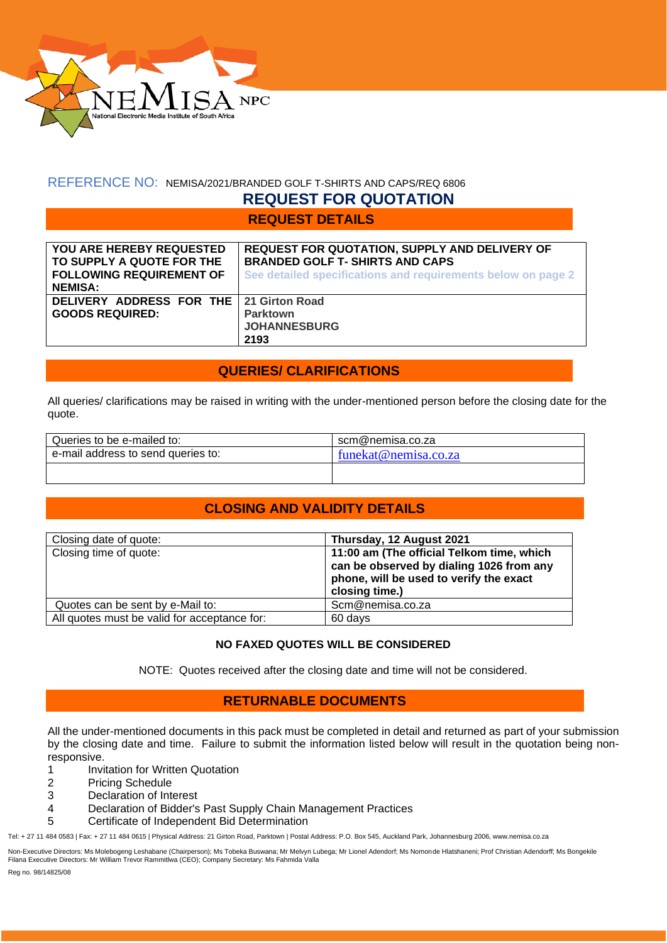

# REFERENCE NO: NEMISA/2021/BRANDED GOLF T-SHIRTS AND CAPS/REQ 6806

# **REQUEST FOR QUOTATION**

**REQUEST DETAILS**

| YOU ARE HEREBY REQUESTED<br>TO SUPPLY A QUOTE FOR THE<br><b>FOLLOWING REQUIREMENT OF</b><br><b>NEMISA:</b> | <b>REQUEST FOR QUOTATION, SUPPLY AND DELIVERY OF</b><br><b>BRANDED GOLF T- SHIRTS AND CAPS</b><br>See detailed specifications and requirements below on page 2 |
|------------------------------------------------------------------------------------------------------------|----------------------------------------------------------------------------------------------------------------------------------------------------------------|
| DELIVERY ADDRESS FOR THE   21 Girton Road<br><b>GOODS REQUIRED:</b>                                        | <b>Parktown</b><br><b>JOHANNESBURG</b><br>2193                                                                                                                 |

# **QUERIES/ CLARIFICATIONS**

All queries/ clarifications may be raised in writing with the under-mentioned person before the closing date for the quote.

| scm@nemisa.co.za     |
|----------------------|
| funekat@nemisa.co.za |
|                      |
|                      |

# **CLOSING AND VALIDITY DETAILS**

| Closing date of quote:                       | Thursday, 12 August 2021                                                                                                                           |
|----------------------------------------------|----------------------------------------------------------------------------------------------------------------------------------------------------|
| Closing time of quote:                       | 11:00 am (The official Telkom time, which<br>can be observed by dialing 1026 from any<br>phone, will be used to verify the exact<br>closing time.) |
| Quotes can be sent by e-Mail to:             | Scm@nemisa.co.za                                                                                                                                   |
| All quotes must be valid for acceptance for: | 60 days                                                                                                                                            |

### **NO FAXED QUOTES WILL BE CONSIDERED**

NOTE: Quotes received after the closing date and time will not be considered.

### **RETURNABLE DOCUMENTS**

All the under-mentioned documents in this pack must be completed in detail and returned as part of your submission by the closing date and time. Failure to submit the information listed below will result in the quotation being nonresponsive.

- 1 Invitation for Written Quotation
- 2 Pricing Schedule
- 3 Declaration of Interest
- 4 Declaration of Bidder's Past Supply Chain Management Practices
- 5 Certificate of Independent Bid Determination

Tel: + 27 11 484 0583 | Fax: + 27 11 484 0615 | Physical Address: 21 Girton Road, Parktown | Postal Address: P.O. Box 545, Auckland Park, Johannesburg 2006, www.nemisa.co.za

Non-Executive Directors: Ms Molebogeng Leshabane (Chairperson); Ms Tobeka Buswana; Mr Melvyn Lubega; Mr Lionel Adendorf; Ms Nomonde Hlatshaneni; Prof Christian Adendorff; Ms Bongekile<br>Filana Executive Directors: Mr William

Reg no. 98/14825/08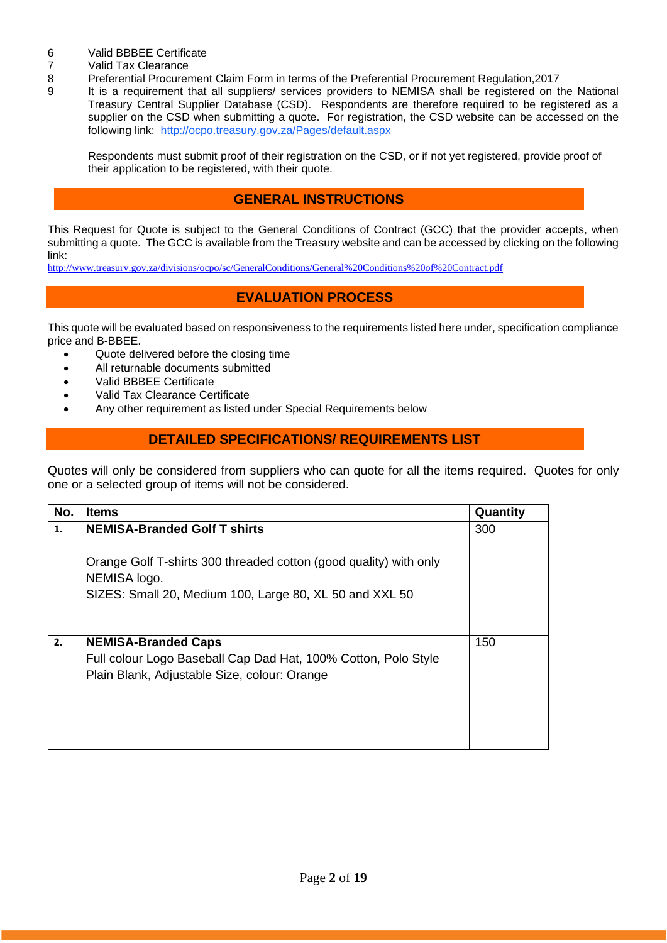- 6 Valid BBBEE Certificate<br>7 Valid Tax Clearance
- 7 Valid Tax Clearance<br>8 Preferential Procurer
- 8 Preferential Procurement Claim Form in terms of the Preferential Procurement Regulation,2017
- It is a requirement that all suppliers/ services providers to NEMISA shall be registered on the National Treasury Central Supplier Database (CSD). Respondents are therefore required to be registered as a supplier on the CSD when submitting a quote. For registration, the CSD website can be accessed on the following link: <http://ocpo.treasury.gov.za/Pages/default.aspx>

Respondents must submit proof of their registration on the CSD, or if not yet registered, provide proof of their application to be registered, with their quote.

## **GENERAL INSTRUCTIONS**

This Request for Quote is subject to the General Conditions of Contract (GCC) that the provider accepts, when submitting a quote. The GCC is available from the Treasury website and can be accessed by clicking on the following link:

<http://www.treasury.gov.za/divisions/ocpo/sc/GeneralConditions/General%20Conditions%20of%20Contract.pdf>

### **EVALUATION PROCESS**

This quote will be evaluated based on responsiveness to the requirements listed here under, specification compliance price and B-BBEE.

- Quote delivered before the closing time
- All returnable documents submitted
- Valid BBBEE Certificate
- Valid Tax Clearance Certificate
- Any other requirement as listed under Special Requirements below

### **DETAILED SPECIFICATIONS/ REQUIREMENTS LIST**

Quotes will only be considered from suppliers who can quote for all the items required. Quotes for only one or a selected group of items will not be considered.

| No. | <b>Items</b>                                                                                                   | Quantity |
|-----|----------------------------------------------------------------------------------------------------------------|----------|
| 1.  | <b>NEMISA-Branded Golf T shirts</b>                                                                            | 300      |
|     | Orange Golf T-shirts 300 threaded cotton (good quality) with only<br>NEMISA logo.                              |          |
|     | SIZES: Small 20, Medium 100, Large 80, XL 50 and XXL 50                                                        |          |
| 2.  | <b>NEMISA-Branded Caps</b>                                                                                     | 150      |
|     | Full colour Logo Baseball Cap Dad Hat, 100% Cotton, Polo Style<br>Plain Blank, Adjustable Size, colour: Orange |          |
|     |                                                                                                                |          |
|     |                                                                                                                |          |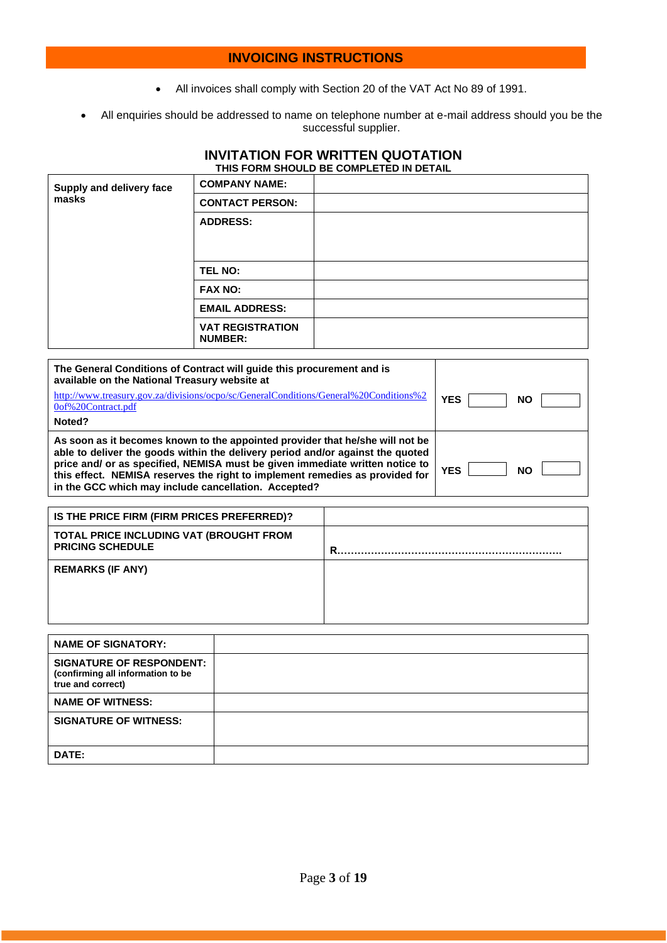### **INVOICING INSTRUCTIONS**

- All invoices shall comply with Section 20 of the VAT Act No 89 of 1991.
- All enquiries should be addressed to name on telephone number at e-mail address should you be the successful supplier.

### **INVITATION FOR WRITTEN QUOTATION THIS FORM SHOULD BE COMPLETED IN DETAIL**

| Supply and delivery face | <b>COMPANY NAME:</b>                      |  |
|--------------------------|-------------------------------------------|--|
| masks                    | <b>CONTACT PERSON:</b>                    |  |
|                          | <b>ADDRESS:</b>                           |  |
|                          | <b>TEL NO:</b>                            |  |
|                          | <b>FAX NO:</b>                            |  |
|                          | <b>EMAIL ADDRESS:</b>                     |  |
|                          | <b>VAT REGISTRATION</b><br><b>NUMBER:</b> |  |

| The General Conditions of Contract will quide this procurement and is<br>available on the National Treasury website at                                                                                                                                                                                                                                                                  |                         |
|-----------------------------------------------------------------------------------------------------------------------------------------------------------------------------------------------------------------------------------------------------------------------------------------------------------------------------------------------------------------------------------------|-------------------------|
| http://www.treasury.gov.za/divisions/ocpo/sc/GeneralConditions/General%20Conditions%2<br>0of%20Contract.pdf                                                                                                                                                                                                                                                                             | YES<br><b>NO</b>        |
| Noted?                                                                                                                                                                                                                                                                                                                                                                                  |                         |
| As soon as it becomes known to the appointed provider that he/she will not be<br>able to deliver the goods within the delivery period and/or against the quoted<br>price and/ or as specified, NEMISA must be given immediate written notice to<br>this effect. NEMISA reserves the right to implement remedies as provided for<br>in the GCC which may include cancellation. Accepted? | <b>YES</b><br><b>NO</b> |

| IS THE PRICE FIRM (FIRM PRICES PREFERRED)?                         |   |
|--------------------------------------------------------------------|---|
| TOTAL PRICE INCLUDING VAT (BROUGHT FROM<br><b>PRICING SCHEDULE</b> | R |
| <b>REMARKS (IF ANY)</b>                                            |   |

| <b>NAME OF SIGNATORY:</b>                                                                 |  |
|-------------------------------------------------------------------------------------------|--|
| <b>SIGNATURE OF RESPONDENT:</b><br>(confirming all information to be<br>true and correct) |  |
| <b>NAME OF WITNESS:</b>                                                                   |  |
| <b>SIGNATURE OF WITNESS:</b>                                                              |  |
| DATE:                                                                                     |  |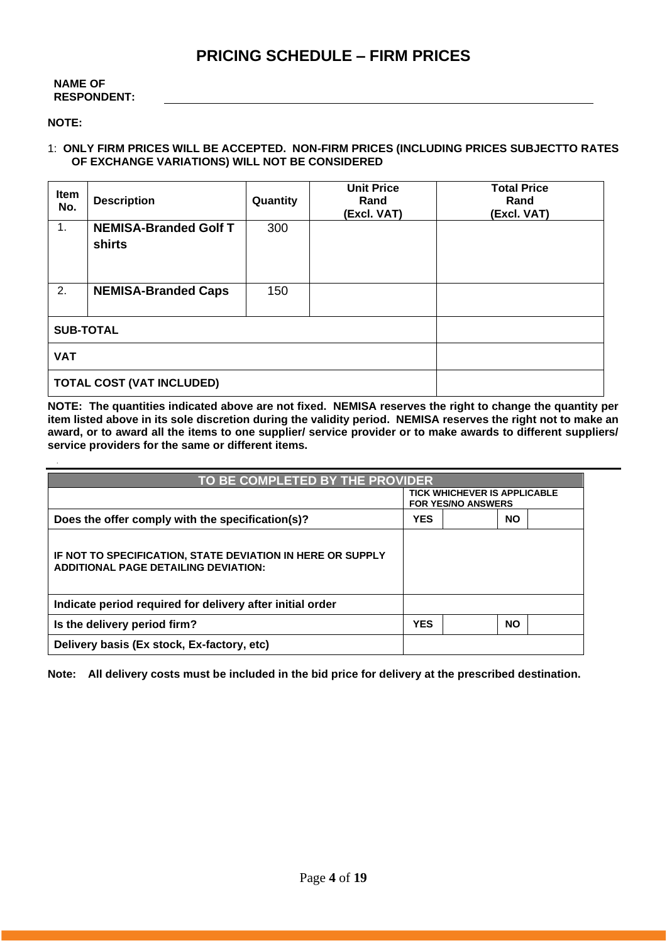# **PRICING SCHEDULE – FIRM PRICES**

#### **NAME OF RESPONDENT:**

#### **NOTE:**

### 1: **ONLY FIRM PRICES WILL BE ACCEPTED. NON-FIRM PRICES (INCLUDING PRICES SUBJECTTO RATES OF EXCHANGE VARIATIONS) WILL NOT BE CONSIDERED**

| Item<br>No. | <b>Description</b>                            | Quantity | <b>Unit Price</b><br>Rand<br>(Excl. VAT) | <b>Total Price</b><br>Rand<br>(Excl. VAT) |  |
|-------------|-----------------------------------------------|----------|------------------------------------------|-------------------------------------------|--|
| 1.          | <b>NEMISA-Branded Golf T</b><br><b>shirts</b> | 300      |                                          |                                           |  |
| 2.          | <b>NEMISA-Branded Caps</b>                    | 150      |                                          |                                           |  |
|             | <b>SUB-TOTAL</b>                              |          |                                          |                                           |  |
| <b>VAT</b>  |                                               |          |                                          |                                           |  |
|             | <b>TOTAL COST (VAT INCLUDED)</b>              |          |                                          |                                           |  |

**NOTE: The quantities indicated above are not fixed. NEMISA reserves the right to change the quantity per item listed above in its sole discretion during the validity period. NEMISA reserves the right not to make an award, or to award all the items to one supplier/ service provider or to make awards to different suppliers/ service providers for the same or different items.**

| TO BE COMPLETED BY THE PROVIDER                                                                           |                         |                                                                  |           |  |
|-----------------------------------------------------------------------------------------------------------|-------------------------|------------------------------------------------------------------|-----------|--|
|                                                                                                           |                         | <b>TICK WHICHEVER IS APPLICABLE</b><br><b>FOR YES/NO ANSWERS</b> |           |  |
| Does the offer comply with the specification(s)?                                                          | <b>YES</b><br><b>NO</b> |                                                                  |           |  |
| IF NOT TO SPECIFICATION, STATE DEVIATION IN HERE OR SUPPLY<br><b>ADDITIONAL PAGE DETAILING DEVIATION:</b> |                         |                                                                  |           |  |
| Indicate period required for delivery after initial order                                                 |                         |                                                                  |           |  |
| Is the delivery period firm?                                                                              | <b>YES</b>              |                                                                  | <b>NO</b> |  |
| Delivery basis (Ex stock, Ex-factory, etc)                                                                |                         |                                                                  |           |  |

**Note: All delivery costs must be included in the bid price for delivery at the prescribed destination.**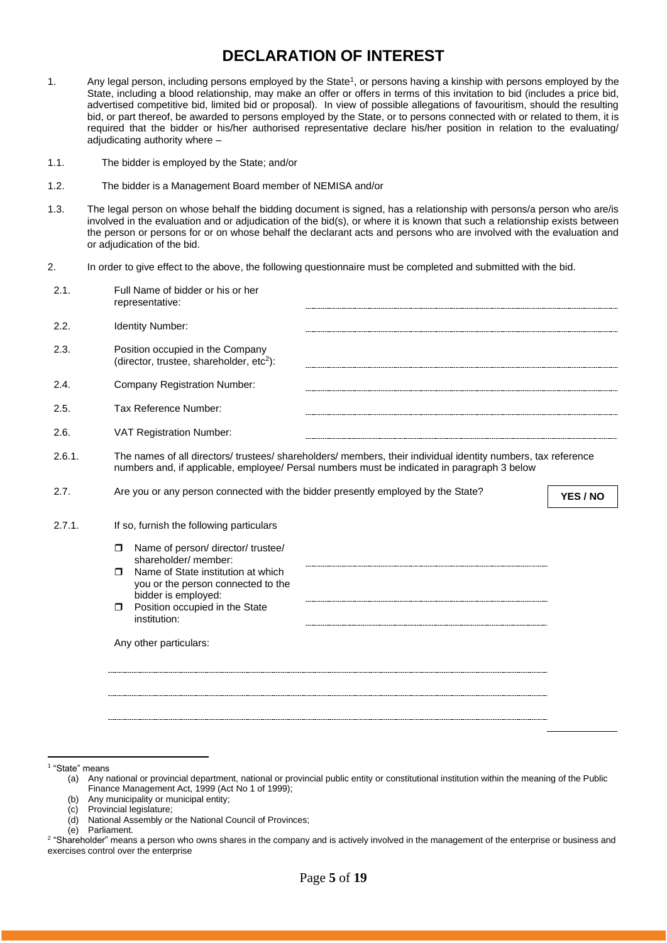# **DECLARATION OF INTEREST**

- 1. Any legal person, including persons employed by the State<sup>1</sup>, or persons having a kinship with persons employed by the State, including a blood relationship, may make an offer or offers in terms of this invitation to bid (includes a price bid, advertised competitive bid, limited bid or proposal). In view of possible allegations of favouritism, should the resulting bid, or part thereof, be awarded to persons employed by the State, or to persons connected with or related to them, it is required that the bidder or his/her authorised representative declare his/her position in relation to the evaluating/ adjudicating authority where –
- 1.1. The bidder is employed by the State; and/or
- 1.2. The bidder is a Management Board member of NEMISA and/or
- 1.3. The legal person on whose behalf the bidding document is signed, has a relationship with persons/a person who are/is involved in the evaluation and or adjudication of the bid(s), or where it is known that such a relationship exists between the person or persons for or on whose behalf the declarant acts and persons who are involved with the evaluation and or adjudication of the bid.
- 2. In order to give effect to the above, the following questionnaire must be completed and submitted with the bid.

| 2.1.   | Full Name of bidder or his or her<br>representative:                                                                                                                                                                                                                    |
|--------|-------------------------------------------------------------------------------------------------------------------------------------------------------------------------------------------------------------------------------------------------------------------------|
| 2.2.   | Identity Number:                                                                                                                                                                                                                                                        |
| 2.3.   | Position occupied in the Company<br>(director, trustee, shareholder, etc <sup>2</sup> ):                                                                                                                                                                                |
| 2.4.   | <b>Company Registration Number:</b>                                                                                                                                                                                                                                     |
| 2.5.   | Tax Reference Number:                                                                                                                                                                                                                                                   |
| 2.6.   | VAT Registration Number:                                                                                                                                                                                                                                                |
| 2.6.1. | The names of all directors/trustees/shareholders/members, their individual identity numbers, tax reference<br>numbers and, if applicable, employee/ Persal numbers must be indicated in paragraph 3 below                                                               |
| 2.7.   | Are you or any person connected with the bidder presently employed by the State?<br>YES / NO                                                                                                                                                                            |
| 2.7.1. | If so, furnish the following particulars                                                                                                                                                                                                                                |
|        | Name of person/ director/ trustee/<br>$\Box$<br>shareholder/ member:<br>Name of State institution at which<br>$\Box$<br>you or the person connected to the<br>bidder is employed:<br>Position occupied in the State<br>$\Box$<br>institution:<br>Any other particulars: |
|        |                                                                                                                                                                                                                                                                         |

1 "State" means

(b) Any municipality or municipal entity;

(d) National Assembly or the National Council of Provinces;

<sup>(</sup>a) Any national or provincial department, national or provincial public entity or constitutional institution within the meaning of the Public Finance Management Act, 1999 (Act No 1 of 1999);

<sup>(</sup>c) Provincial legislature;

<sup>(</sup>e) Parliament.

<sup>&</sup>lt;sup>2</sup> "Shareholder" means a person who owns shares in the company and is actively involved in the management of the enterprise or business and exercises control over the enterprise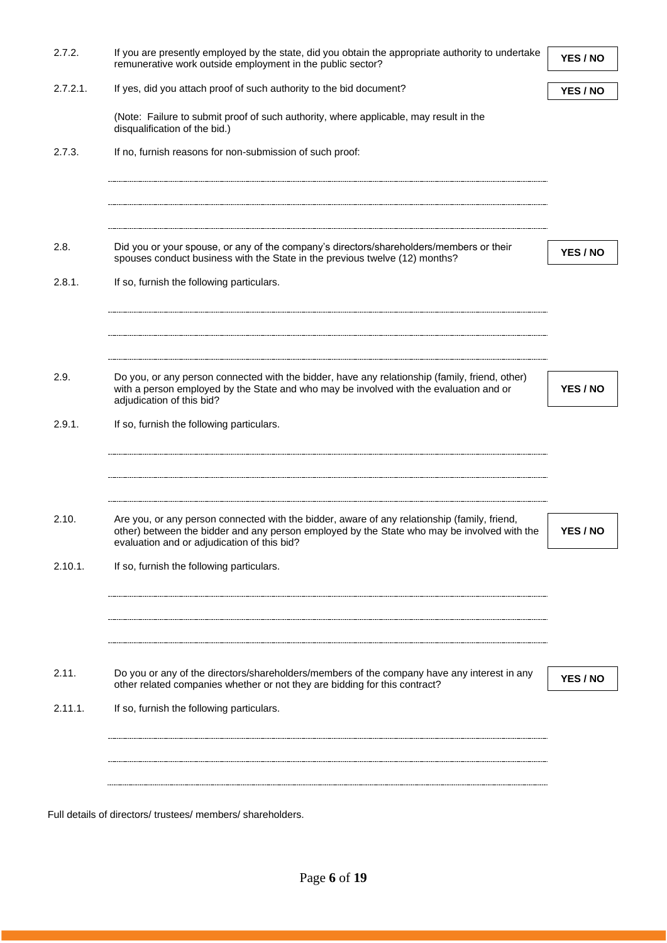| 2.7.2.      | If you are presently employed by the state, did you obtain the appropriate authority to undertake<br>remunerative work outside employment in the public sector?                                                                            | YES / NO |
|-------------|--------------------------------------------------------------------------------------------------------------------------------------------------------------------------------------------------------------------------------------------|----------|
| $2.7.2.1$ . | If yes, did you attach proof of such authority to the bid document?                                                                                                                                                                        | YES / NO |
|             | (Note: Failure to submit proof of such authority, where applicable, may result in the<br>disqualification of the bid.)                                                                                                                     |          |
| 2.7.3.      | If no, furnish reasons for non-submission of such proof:                                                                                                                                                                                   |          |
|             |                                                                                                                                                                                                                                            |          |
| 2.8.        | Did you or your spouse, or any of the company's directors/shareholders/members or their<br>spouses conduct business with the State in the previous twelve (12) months?                                                                     | YES / NO |
| 2.8.1.      | If so, furnish the following particulars.                                                                                                                                                                                                  |          |
|             |                                                                                                                                                                                                                                            |          |
| 2.9.        | Do you, or any person connected with the bidder, have any relationship (family, friend, other)<br>with a person employed by the State and who may be involved with the evaluation and or                                                   | YES / NO |
|             | adjudication of this bid?                                                                                                                                                                                                                  |          |
| 2.9.1.      | If so, furnish the following particulars.                                                                                                                                                                                                  |          |
|             |                                                                                                                                                                                                                                            |          |
|             |                                                                                                                                                                                                                                            |          |
| 2.10.       | Are you, or any person connected with the bidder, aware of any relationship (family, friend,<br>other) between the bidder and any person employed by the State who may be involved with the<br>evaluation and or adjudication of this bid? | YES / NO |
| 2.10.1.     | If so, furnish the following particulars.                                                                                                                                                                                                  |          |
|             |                                                                                                                                                                                                                                            |          |
|             |                                                                                                                                                                                                                                            |          |
| 2.11.       | Do you or any of the directors/shareholders/members of the company have any interest in any<br>other related companies whether or not they are bidding for this contract?                                                                  | YES / NO |
| 2.11.1.     | If so, furnish the following particulars.                                                                                                                                                                                                  |          |
|             |                                                                                                                                                                                                                                            |          |
|             |                                                                                                                                                                                                                                            |          |
|             | Full details of directors/ trustees/ members/ shareholders.                                                                                                                                                                                |          |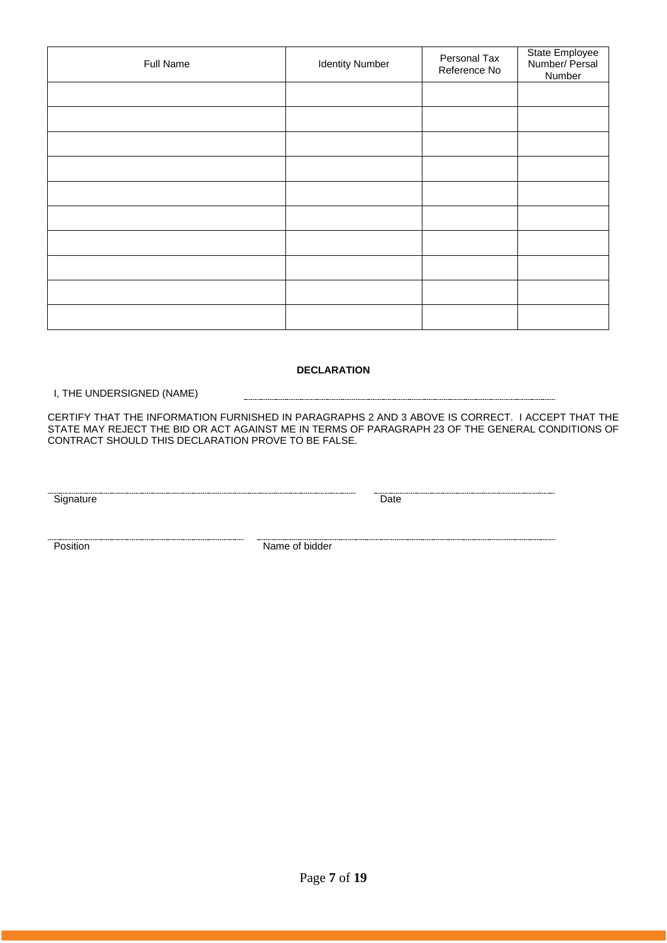| Full Name | <b>Identity Number</b> | Personal Tax<br>Reference No | State Employee<br>Number/ Persal<br>Number |
|-----------|------------------------|------------------------------|--------------------------------------------|
|           |                        |                              |                                            |
|           |                        |                              |                                            |
|           |                        |                              |                                            |
|           |                        |                              |                                            |
|           |                        |                              |                                            |
|           |                        |                              |                                            |
|           |                        |                              |                                            |
|           |                        |                              |                                            |
|           |                        |                              |                                            |
|           |                        |                              |                                            |

#### **DECLARATION**

I, THE UNDERSIGNED (NAME)

CERTIFY THAT THE INFORMATION FURNISHED IN PARAGRAPHS 2 AND 3 ABOVE IS CORRECT. I ACCEPT THAT THE STATE MAY REJECT THE BID OR ACT AGAINST ME IN TERMS OF PARAGRAPH 23 OF THE GENERAL CONDITIONS OF CONTRACT SHOULD THIS DECLARATION PROVE TO BE FALSE.

Signature Date

**Position** Name of bidder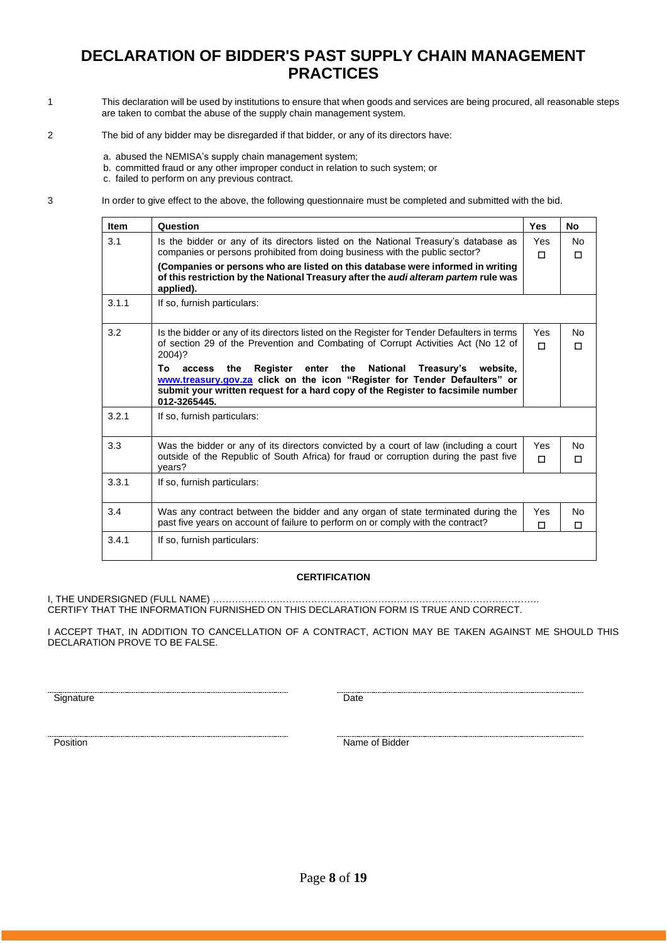# **DECLARATION OF BIDDER'S PAST SUPPLY CHAIN MANAGEMENT PRACTICES**

- 1 This declaration will be used by institutions to ensure that when goods and services are being procured, all reasonable steps are taken to combat the abuse of the supply chain management system.
- 2 The bid of any bidder may be disregarded if that bidder, or any of its directors have:
	- a. abused the NEMISA's supply chain management system;
	- b. committed fraud or any other improper conduct in relation to such system; or

c. failed to perform on any previous contract.

3 In order to give effect to the above, the following questionnaire must be completed and submitted with the bid.

| <b>Item</b> | Question                                                                                                                                                                                                                                                        | <b>Yes</b>    | <b>No</b>      |
|-------------|-----------------------------------------------------------------------------------------------------------------------------------------------------------------------------------------------------------------------------------------------------------------|---------------|----------------|
| 3.1         | Is the bidder or any of its directors listed on the National Treasury's database as<br>companies or persons prohibited from doing business with the public sector?                                                                                              | Yes<br>п      | <b>No</b><br>п |
|             | (Companies or persons who are listed on this database were informed in writing<br>of this restriction by the National Treasury after the audi alteram partem rule was<br>applied).                                                                              |               |                |
| 3.1.1       | If so, furnish particulars:                                                                                                                                                                                                                                     |               |                |
| 3.2         | Is the bidder or any of its directors listed on the Register for Tender Defaulters in terms<br>of section 29 of the Prevention and Combating of Corrupt Activities Act (No 12 of<br>2004)?                                                                      | Yes<br>П      | No<br>П        |
|             | enter the<br>National<br>То<br>the<br>Register<br>Treasury's website,<br>access<br>www.treasury.gov.za click on the icon "Register for Tender Defaulters" or<br>submit your written request for a hard copy of the Register to facsimile number<br>012-3265445. |               |                |
| 3.2.1       | If so, furnish particulars:                                                                                                                                                                                                                                     |               |                |
| 3.3         | Was the bidder or any of its directors convicted by a court of law (including a court<br>outside of the Republic of South Africa) for fraud or corruption during the past five<br>years?                                                                        | Yes<br>$\Box$ | Nο<br>П        |
| 3.3.1       | If so, furnish particulars:                                                                                                                                                                                                                                     |               |                |
| 3.4         | Was any contract between the bidder and any organ of state terminated during the<br>past five years on account of failure to perform on or comply with the contract?                                                                                            | Yes<br>П      | Nο<br>п        |
| 3.4.1       | If so, furnish particulars:                                                                                                                                                                                                                                     |               |                |

#### **CERTIFICATION**

I, THE UNDERSIGNED (FULL NAME) …………………………………………………………………………………………. CERTIFY THAT THE INFORMATION FURNISHED ON THIS DECLARATION FORM IS TRUE AND CORRECT.

I ACCEPT THAT, IN ADDITION TO CANCELLATION OF A CONTRACT, ACTION MAY BE TAKEN AGAINST ME SHOULD THIS DECLARATION PROVE TO BE FALSE.

Signature Date

Position Name of Bidder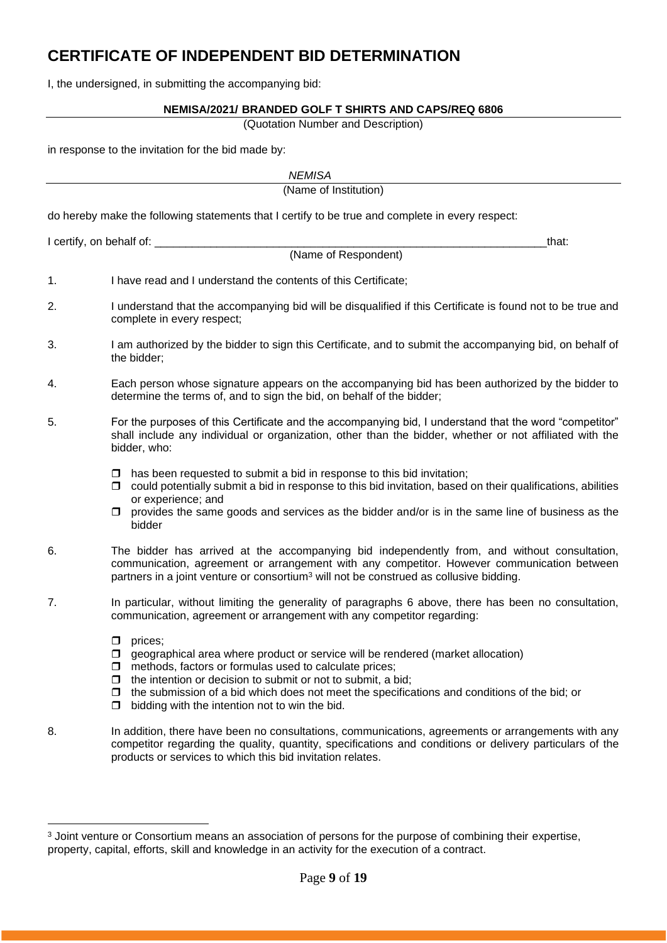# **CERTIFICATE OF INDEPENDENT BID DETERMINATION**

I, the undersigned, in submitting the accompanying bid:

### **NEMISA/2021/ BRANDED GOLF T SHIRTS AND CAPS/REQ 6806**

(Quotation Number and Description)

in response to the invitation for the bid made by:

|                          | <b>NEMISA</b>                                                                                                                                                                                                                                                                                                                                                                                        |
|--------------------------|------------------------------------------------------------------------------------------------------------------------------------------------------------------------------------------------------------------------------------------------------------------------------------------------------------------------------------------------------------------------------------------------------|
|                          | (Name of Institution)                                                                                                                                                                                                                                                                                                                                                                                |
|                          | do hereby make the following statements that I certify to be true and complete in every respect:                                                                                                                                                                                                                                                                                                     |
| I certify, on behalf of: | that:                                                                                                                                                                                                                                                                                                                                                                                                |
|                          | (Name of Respondent)                                                                                                                                                                                                                                                                                                                                                                                 |
| 1.                       | I have read and I understand the contents of this Certificate;                                                                                                                                                                                                                                                                                                                                       |
| 2.                       | I understand that the accompanying bid will be disqualified if this Certificate is found not to be true and<br>complete in every respect;                                                                                                                                                                                                                                                            |
| 3.                       | I am authorized by the bidder to sign this Certificate, and to submit the accompanying bid, on behalf of<br>the bidder;                                                                                                                                                                                                                                                                              |
| 4.                       | Each person whose signature appears on the accompanying bid has been authorized by the bidder to<br>determine the terms of, and to sign the bid, on behalf of the bidder;                                                                                                                                                                                                                            |
| 5.                       | For the purposes of this Certificate and the accompanying bid, I understand that the word "competitor"<br>shall include any individual or organization, other than the bidder, whether or not affiliated with the<br>bidder, who:                                                                                                                                                                    |
|                          | has been requested to submit a bid in response to this bid invitation;<br>□<br>could potentially submit a bid in response to this bid invitation, based on their qualifications, abilities<br>□<br>or experience; and<br>provides the same goods and services as the bidder and/or is in the same line of business as the<br>bidder                                                                  |
| 6.                       | The bidder has arrived at the accompanying bid independently from, and without consultation,<br>communication, agreement or arrangement with any competitor. However communication between<br>partners in a joint venture or consortium <sup>3</sup> will not be construed as collusive bidding.                                                                                                     |
| 7.                       | In particular, without limiting the generality of paragraphs 6 above, there has been no consultation,<br>communication, agreement or arrangement with any competitor regarding:                                                                                                                                                                                                                      |
|                          | prices;<br>◻<br>geographical area where product or service will be rendered (market allocation)<br>□<br>methods, factors or formulas used to calculate prices;<br>□<br>the intention or decision to submit or not to submit, a bid;<br>□<br>the submission of a bid which does not meet the specifications and conditions of the bid; or<br>□<br>bidding with the intention not to win the bid.<br>□ |
| 8.                       | In addition, there have been no consultations, communications, agreements or arrangements with any<br>competitor regarding the quality, quantity, specifications and conditions or delivery particulars of the<br>products or services to which this bid invitation relates.                                                                                                                         |

<sup>&</sup>lt;sup>3</sup> Joint venture or Consortium means an association of persons for the purpose of combining their expertise, property, capital, efforts, skill and knowledge in an activity for the execution of a contract.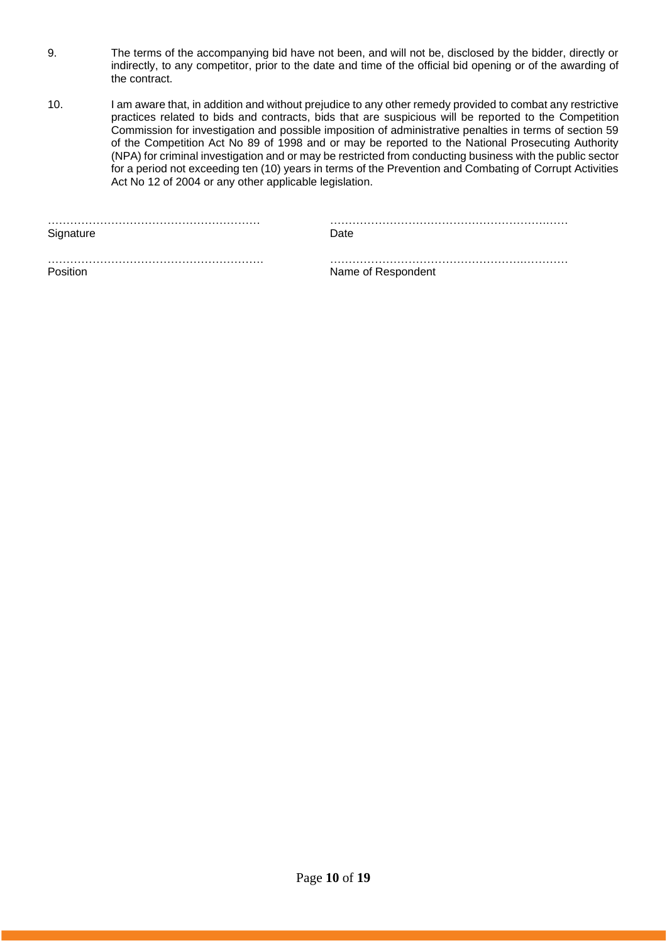- 9. The terms of the accompanying bid have not been, and will not be, disclosed by the bidder, directly or indirectly, to any competitor, prior to the date and time of the official bid opening or of the awarding of the contract.
- 10. I am aware that, in addition and without prejudice to any other remedy provided to combat any restrictive practices related to bids and contracts, bids that are suspicious will be reported to the Competition Commission for investigation and possible imposition of administrative penalties in terms of section 59 of the Competition Act No 89 of 1998 and or may be reported to the National Prosecuting Authority (NPA) for criminal investigation and or may be restricted from conducting business with the public sector for a period not exceeding ten (10) years in terms of the Prevention and Combating of Corrupt Activities Act No 12 of 2004 or any other applicable legislation.

|           | . |
|-----------|---|
| Signature |   |

………………………………………………… ………………………………………………….……

…………………………………………………. …………………………………………….………… Position **Name of Respondent**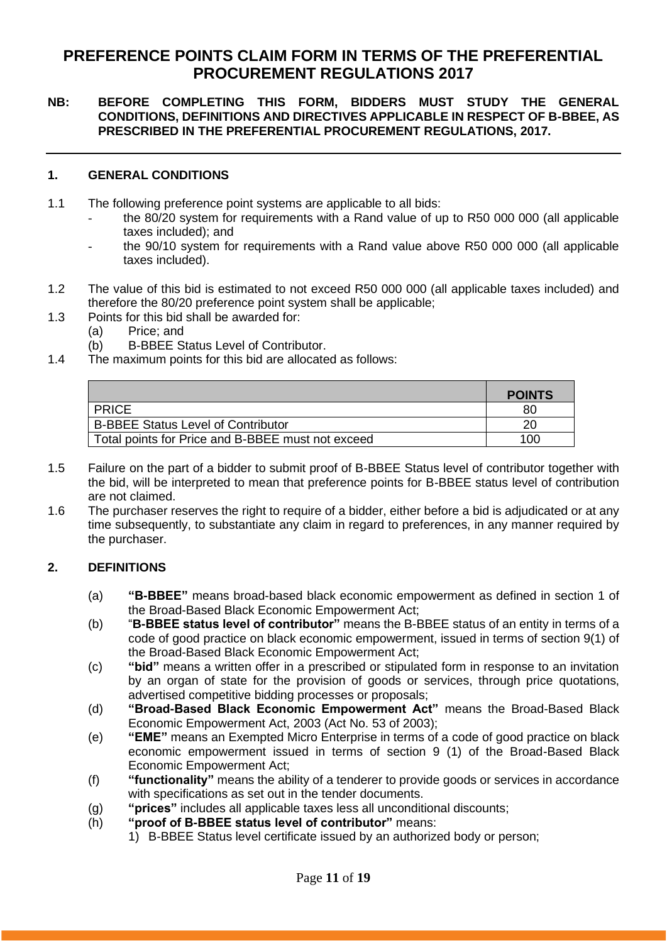# **PREFERENCE POINTS CLAIM FORM IN TERMS OF THE PREFERENTIAL PROCUREMENT REGULATIONS 2017**

### **NB: BEFORE COMPLETING THIS FORM, BIDDERS MUST STUDY THE GENERAL CONDITIONS, DEFINITIONS AND DIRECTIVES APPLICABLE IN RESPECT OF B-BBEE, AS PRESCRIBED IN THE PREFERENTIAL PROCUREMENT REGULATIONS, 2017.**

### **1. GENERAL CONDITIONS**

- 1.1 The following preference point systems are applicable to all bids:
	- the 80/20 system for requirements with a Rand value of up to R50 000 000 (all applicable taxes included); and
	- the 90/10 system for requirements with a Rand value above R50 000 000 (all applicable taxes included).
- 1.2 The value of this bid is estimated to not exceed R50 000 000 (all applicable taxes included) and therefore the 80/20 preference point system shall be applicable;
- 1.3 Points for this bid shall be awarded for:
	- (a) Price; and
	- (b) B-BBEE Status Level of Contributor.
- 1.4 The maximum points for this bid are allocated as follows:

|                                                   | <b>POINTS</b> |
|---------------------------------------------------|---------------|
| <b>PRICE</b>                                      | 80            |
| <b>B-BBEE Status Level of Contributor</b>         | 20            |
| Total points for Price and B-BBEE must not exceed | 100           |

- 1.5 Failure on the part of a bidder to submit proof of B-BBEE Status level of contributor together with the bid, will be interpreted to mean that preference points for B-BBEE status level of contribution are not claimed.
- 1.6 The purchaser reserves the right to require of a bidder, either before a bid is adjudicated or at any time subsequently, to substantiate any claim in regard to preferences, in any manner required by the purchaser.

### **2. DEFINITIONS**

- (a) **"B-BBEE"** means broad-based black economic empowerment as defined in section 1 of the Broad-Based Black Economic Empowerment Act;
- (b) "**B-BBEE status level of contributor"** means the B-BBEE status of an entity in terms of a code of good practice on black economic empowerment, issued in terms of section 9(1) of the Broad-Based Black Economic Empowerment Act;
- (c) **"bid"** means a written offer in a prescribed or stipulated form in response to an invitation by an organ of state for the provision of goods or services, through price quotations, advertised competitive bidding processes or proposals;
- (d) **"Broad-Based Black Economic Empowerment Act"** means the Broad-Based Black Economic Empowerment Act, 2003 (Act No. 53 of 2003);
- (e) **"EME"** means an Exempted Micro Enterprise in terms of a code of good practice on black economic empowerment issued in terms of section 9 (1) of the Broad-Based Black Economic Empowerment Act;
- (f) **"functionality"** means the ability of a tenderer to provide goods or services in accordance with specifications as set out in the tender documents.
- (g) **"prices"** includes all applicable taxes less all unconditional discounts;
- (h) **"proof of B-BBEE status level of contributor"** means:
	- 1) B-BBEE Status level certificate issued by an authorized body or person;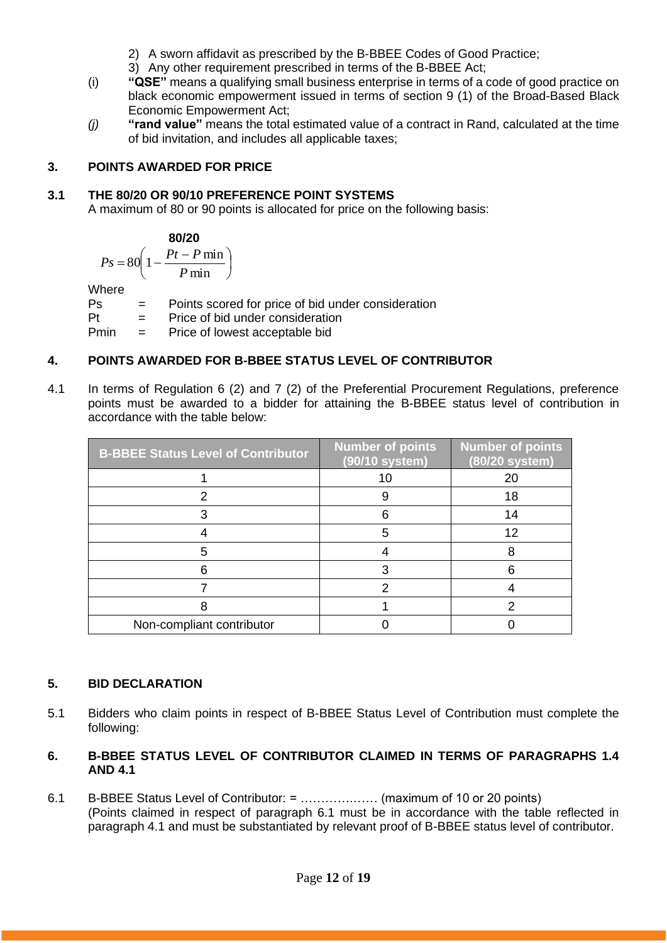- 2) A sworn affidavit as prescribed by the B-BBEE Codes of Good Practice;
- 3) Any other requirement prescribed in terms of the B-BBEE Act;
- (i) **"QSE"** means a qualifying small business enterprise in terms of a code of good practice on black economic empowerment issued in terms of section 9 (1) of the Broad-Based Black Economic Empowerment Act;
- *(j)* **"rand value"** means the total estimated value of a contract in Rand, calculated at the time of bid invitation, and includes all applicable taxes;

### **3. POINTS AWARDED FOR PRICE**

### **3.1 THE 80/20 OR 90/10 PREFERENCE POINT SYSTEMS**

A maximum of 80 or 90 points is allocated for price on the following basis:

$$
\begin{array}{c}\n80/20 \\
\end{array}
$$

$$
Ps = 80 \left( 1 - \frac{Pt - P \min}{P \min} \right)
$$

Where

Ps = Points scored for price of bid under consideration

Pt = Price of bid under consideration

Pmin = Price of lowest acceptable bid

# **4. POINTS AWARDED FOR B-BBEE STATUS LEVEL OF CONTRIBUTOR**

4.1 In terms of Regulation 6 (2) and 7 (2) of the Preferential Procurement Regulations, preference points must be awarded to a bidder for attaining the B-BBEE status level of contribution in accordance with the table below:

| <b>B-BBEE Status Level of Contributor</b> | <b>Number of points</b><br>(90/10 system) | <b>Number</b> of points<br>(80/20 system) |
|-------------------------------------------|-------------------------------------------|-------------------------------------------|
|                                           | 10                                        | 20                                        |
|                                           |                                           | 18                                        |
|                                           |                                           | 14                                        |
|                                           |                                           | 12                                        |
|                                           |                                           |                                           |
|                                           |                                           |                                           |
|                                           |                                           |                                           |
|                                           |                                           |                                           |
| Non-compliant contributor                 |                                           |                                           |

### **5. BID DECLARATION**

5.1 Bidders who claim points in respect of B-BBEE Status Level of Contribution must complete the following:

### **6. B-BBEE STATUS LEVEL OF CONTRIBUTOR CLAIMED IN TERMS OF PARAGRAPHS 1.4 AND 4.1**

6.1 B-BBEE Status Level of Contributor: = ………….…… (maximum of 10 or 20 points) (Points claimed in respect of paragraph 6.1 must be in accordance with the table reflected in paragraph 4.1 and must be substantiated by relevant proof of B-BBEE status level of contributor.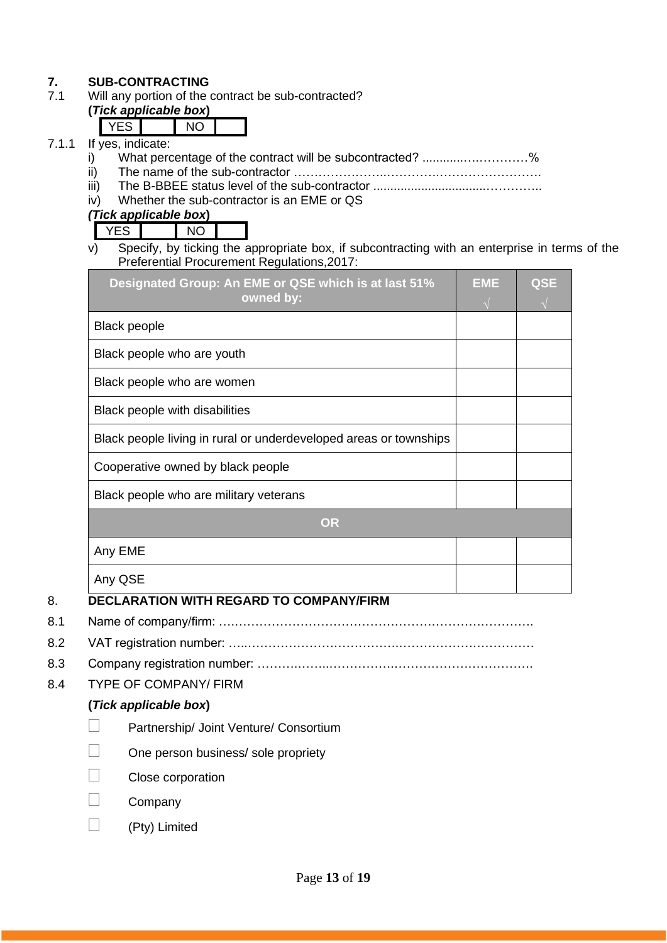# **7. SUB-CONTRACTING**<br>**7.1** Will any portion of the

Will any portion of the contract be sub-contracted?

#### **(***Tick applicable box***)**  $\nabla$ FS  $\nabla$

| If<br>wes indicate. |  |
|---------------------|--|

- 7.1.1 If  $\frac{1}{i}$ i) What percentage of the contract will be subcontracted? ............….…………%
	- ii) The name of the sub-contractor …………………..………….…………………….
	- iii) The B-BBEE status level of the sub-contractor .................................…………..
	- iv) Whether the sub-contractor is an EME or QS

*(Tick applicable box***)**

YES NO

v) Specify, by ticking the appropriate box, if subcontracting with an enterprise in terms of the Preferential Procurement Regulations,2017:

| <b>Black people</b><br>Black people who are youth<br>Black people who are women<br>Black people with disabilities<br>Black people living in rural or underdeveloped areas or townships<br>Cooperative owned by black people<br>Black people who are military veterans<br><b>OR</b> | Designated Group: An EME or QSE which is at last 51%<br>owned by: | <b>EME</b> | <b>QSE</b> |
|------------------------------------------------------------------------------------------------------------------------------------------------------------------------------------------------------------------------------------------------------------------------------------|-------------------------------------------------------------------|------------|------------|
|                                                                                                                                                                                                                                                                                    |                                                                   |            |            |
|                                                                                                                                                                                                                                                                                    |                                                                   |            |            |
|                                                                                                                                                                                                                                                                                    |                                                                   |            |            |
|                                                                                                                                                                                                                                                                                    |                                                                   |            |            |
|                                                                                                                                                                                                                                                                                    |                                                                   |            |            |
|                                                                                                                                                                                                                                                                                    |                                                                   |            |            |
|                                                                                                                                                                                                                                                                                    |                                                                   |            |            |
|                                                                                                                                                                                                                                                                                    |                                                                   |            |            |
|                                                                                                                                                                                                                                                                                    | Any EME                                                           |            |            |
| Any QSE                                                                                                                                                                                                                                                                            |                                                                   |            |            |

# 8. **DECLARATION WITH REGARD TO COMPANY/FIRM**

- 8.1 Name of company/firm: ….……………………………………………………………….
- 8.2 VAT registration number: …..……………………………….……………………………
- 8.3 Company registration number: ……….……..…………….…………………………….
- 8.4 TYPE OF COMPANY/ FIRM

# **(***Tick applicable box***)**

- Partnership/ Joint Venture/ Consortium
- One person business/ sole propriety
- Close corporation
- Company
- (Pty) Limited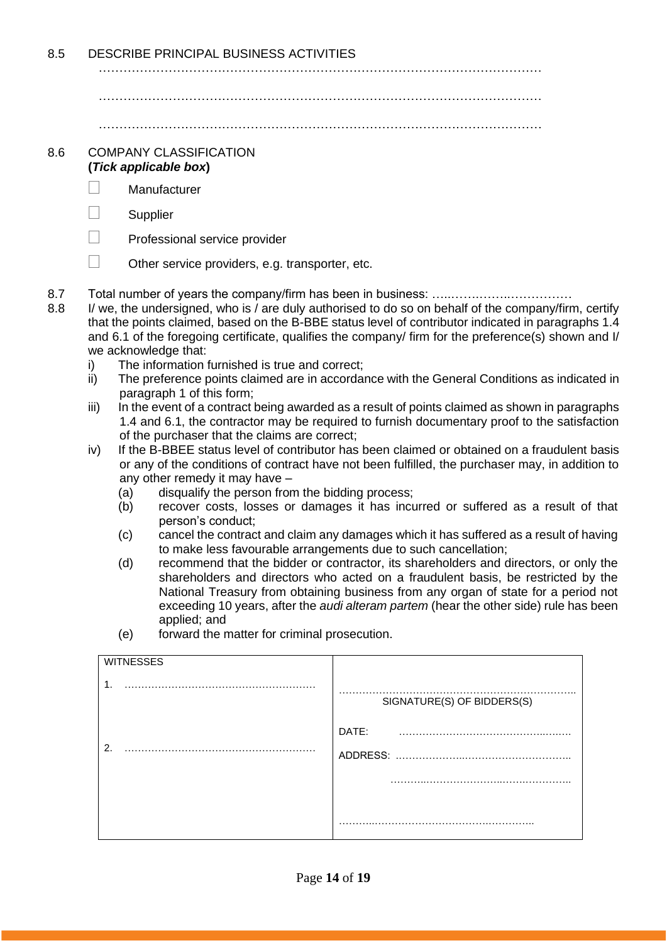8.5 DESCRIBE PRINCIPAL BUSINESS ACTIVITIES

………………………………………………………………………………………………

………………………………………………………………………………………………

………………………………………………………………………………………………

#### 8.6 COMPANY CLASSIFICATION **(***Tick applicable box***)**

- Manufacturer
- $\Box$  Supplier
- $\Box$  Professional service provider
- $\Box$  Other service providers, e.g. transporter, etc.
- 8.7 Total number of years the company/firm has been in business: …..…….……..……………
- 8.8 I/ we, the undersigned, who is / are duly authorised to do so on behalf of the company/firm, certify that the points claimed, based on the B-BBE status level of contributor indicated in paragraphs 1.4 and 6.1 of the foregoing certificate, qualifies the company/ firm for the preference(s) shown and I/ we acknowledge that:
	- i) The information furnished is true and correct;
	- ii) The preference points claimed are in accordance with the General Conditions as indicated in paragraph 1 of this form;
	- iii) In the event of a contract being awarded as a result of points claimed as shown in paragraphs 1.4 and 6.1, the contractor may be required to furnish documentary proof to the satisfaction of the purchaser that the claims are correct;
	- iv) If the B-BBEE status level of contributor has been claimed or obtained on a fraudulent basis or any of the conditions of contract have not been fulfilled, the purchaser may, in addition to any other remedy it may have –
		- (a) disqualify the person from the bidding process;
		- (b) recover costs, losses or damages it has incurred or suffered as a result of that person's conduct;
		- (c) cancel the contract and claim any damages which it has suffered as a result of having to make less favourable arrangements due to such cancellation;
		- (d) recommend that the bidder or contractor, its shareholders and directors, or only the shareholders and directors who acted on a fraudulent basis, be restricted by the National Treasury from obtaining business from any organ of state for a period not exceeding 10 years, after the *audi alteram partem* (hear the other side) rule has been applied; and
		- (e) forward the matter for criminal prosecution.

| <b>WITNESSES</b> |                            |
|------------------|----------------------------|
| $\mathbf{1}$ .   | SIGNATURE(S) OF BIDDERS(S) |
|                  | DATE:                      |
| 2.               |                            |
|                  |                            |
|                  |                            |
|                  |                            |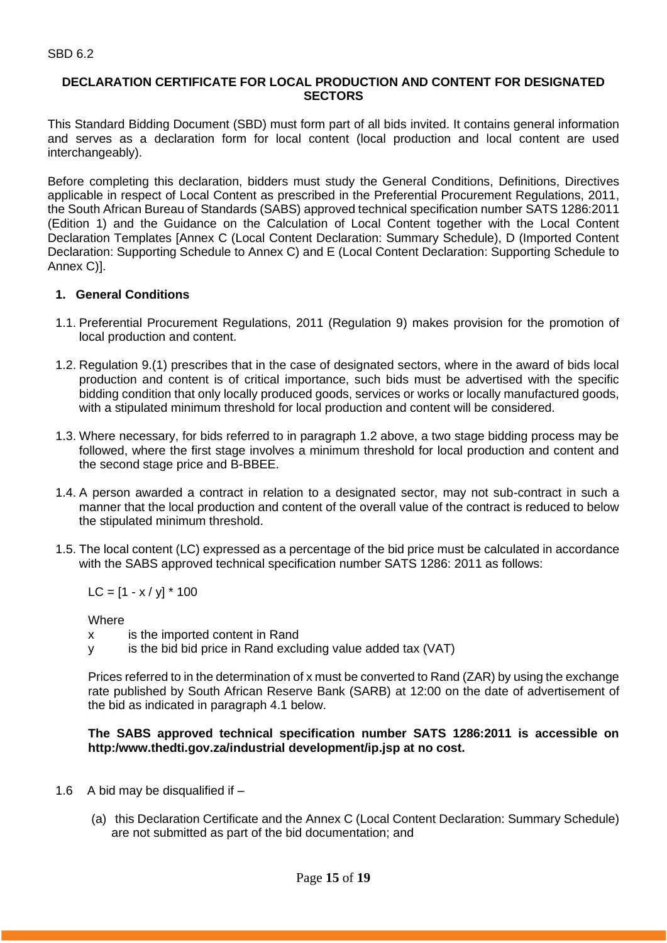### **DECLARATION CERTIFICATE FOR LOCAL PRODUCTION AND CONTENT FOR DESIGNATED SECTORS**

This Standard Bidding Document (SBD) must form part of all bids invited. It contains general information and serves as a declaration form for local content (local production and local content are used interchangeably).

Before completing this declaration, bidders must study the General Conditions, Definitions, Directives applicable in respect of Local Content as prescribed in the Preferential Procurement Regulations, 2011, the South African Bureau of Standards (SABS) approved technical specification number SATS 1286:2011 (Edition 1) and the Guidance on the Calculation of Local Content together with the Local Content Declaration Templates [Annex C (Local Content Declaration: Summary Schedule), D (Imported Content Declaration: Supporting Schedule to Annex C) and E (Local Content Declaration: Supporting Schedule to Annex C)].

### **1. General Conditions**

- 1.1. Preferential Procurement Regulations, 2011 (Regulation 9) makes provision for the promotion of local production and content.
- 1.2. Regulation 9.(1) prescribes that in the case of designated sectors, where in the award of bids local production and content is of critical importance, such bids must be advertised with the specific bidding condition that only locally produced goods, services or works or locally manufactured goods, with a stipulated minimum threshold for local production and content will be considered.
- 1.3. Where necessary, for bids referred to in paragraph 1.2 above, a two stage bidding process may be followed, where the first stage involves a minimum threshold for local production and content and the second stage price and B-BBEE.
- 1.4. A person awarded a contract in relation to a designated sector, may not sub-contract in such a manner that the local production and content of the overall value of the contract is reduced to below the stipulated minimum threshold.
- 1.5. The local content (LC) expressed as a percentage of the bid price must be calculated in accordance with the SABS approved technical specification number SATS 1286: 2011 as follows:

 $LC = [1 - x / y] * 100$ 

**Where** 

- x is the imported content in Rand
- y is the bid bid price in Rand excluding value added tax (VAT)

Prices referred to in the determination of x must be converted to Rand (ZAR) by using the exchange rate published by South African Reserve Bank (SARB) at 12:00 on the date of advertisement of the bid as indicated in paragraph 4.1 below.

### **The SABS approved technical specification number SATS 1286:2011 is accessible on http:/www.thedti.gov.za/industrial development/ip.jsp at no cost.**

- 1.6 A bid may be disqualified if  $-$ 
	- (a) this Declaration Certificate and the Annex C (Local Content Declaration: Summary Schedule) are not submitted as part of the bid documentation; and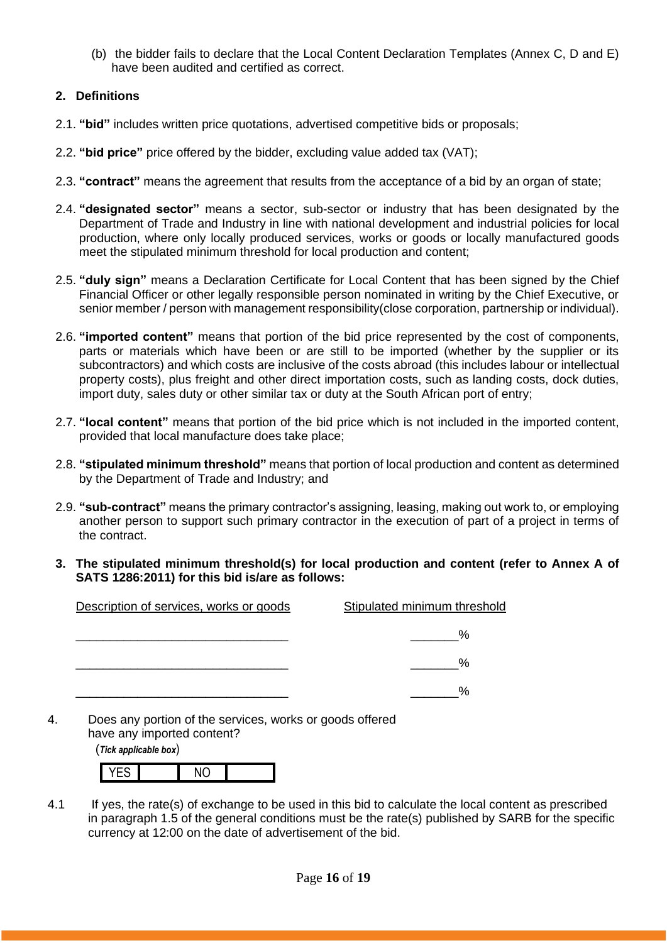(b) the bidder fails to declare that the Local Content Declaration Templates (Annex C, D and E) have been audited and certified as correct.

### **2. Definitions**

- 2.1. **"bid"** includes written price quotations, advertised competitive bids or proposals;
- 2.2. **"bid price"** price offered by the bidder, excluding value added tax (VAT);
- 2.3. **"contract"** means the agreement that results from the acceptance of a bid by an organ of state;
- 2.4. **"designated sector"** means a sector, sub-sector or industry that has been designated by the Department of Trade and Industry in line with national development and industrial policies for local production, where only locally produced services, works or goods or locally manufactured goods meet the stipulated minimum threshold for local production and content;
- 2.5. **"duly sign"** means a Declaration Certificate for Local Content that has been signed by the Chief Financial Officer or other legally responsible person nominated in writing by the Chief Executive, or senior member / person with management responsibility(close corporation, partnership or individual).
- 2.6. **"imported content"** means that portion of the bid price represented by the cost of components, parts or materials which have been or are still to be imported (whether by the supplier or its subcontractors) and which costs are inclusive of the costs abroad (this includes labour or intellectual property costs), plus freight and other direct importation costs, such as landing costs, dock duties, import duty, sales duty or other similar tax or duty at the South African port of entry;
- 2.7. **"local content"** means that portion of the bid price which is not included in the imported content, provided that local manufacture does take place;
- 2.8. **"stipulated minimum threshold"** means that portion of local production and content as determined by the Department of Trade and Industry; and
- 2.9. **"sub-contract"** means the primary contractor's assigning, leasing, making out work to, or employing another person to support such primary contractor in the execution of part of a project in terms of the contract.
- **3. The stipulated minimum threshold(s) for local production and content (refer to Annex A of SATS 1286:2011) for this bid is/are as follows:**

| Description of services, works or goods | Stipulated minimum threshold |
|-----------------------------------------|------------------------------|
|                                         | %                            |
|                                         | %                            |
|                                         | %                            |

4. Does any portion of the services, works or goods offered have any imported content?

(*Tick applicable box*)

| - | . |  |
|---|---|--|

4.1 If yes, the rate(s) of exchange to be used in this bid to calculate the local content as prescribed in paragraph 1.5 of the general conditions must be the rate(s) published by SARB for the specific currency at 12:00 on the date of advertisement of the bid.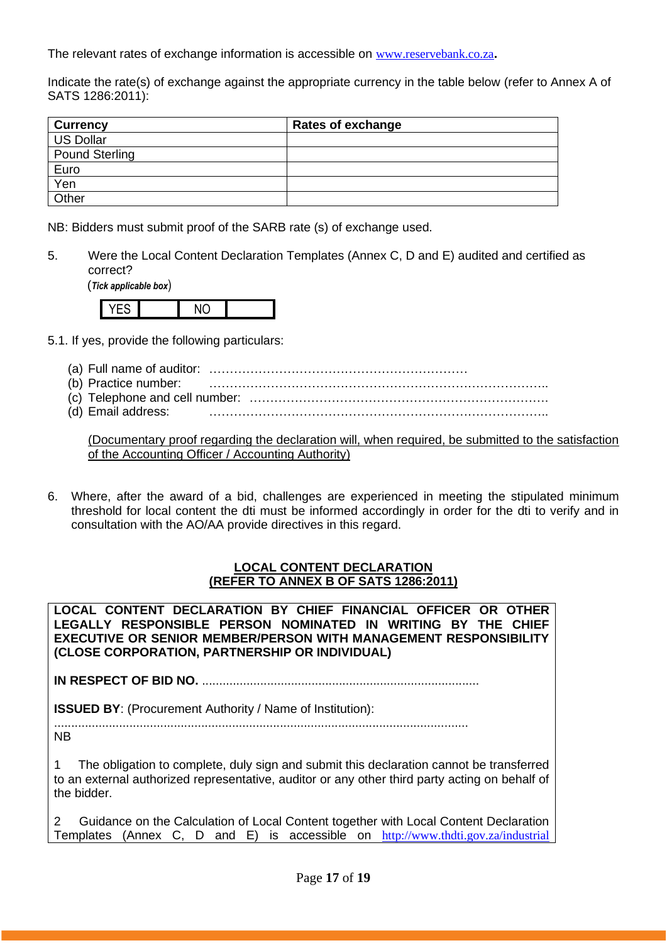The relevant rates of exchange information is accessible on [www.reservebank.co.za](http://www.reservebank.co.za/)**.**

Indicate the rate(s) of exchange against the appropriate currency in the table below (refer to Annex A of SATS 1286:2011):

| <b>Currency</b>       | <b>Rates of exchange</b> |
|-----------------------|--------------------------|
| <b>US Dollar</b>      |                          |
| <b>Pound Sterling</b> |                          |
| Euro                  |                          |
| Yen                   |                          |
| Other                 |                          |

NB: Bidders must submit proof of the SARB rate (s) of exchange used.

5. Were the Local Content Declaration Templates (Annex C, D and E) audited and certified as correct?

(*Tick applicable box*)



- 5.1. If yes, provide the following particulars:
	- (a) Full name of auditor: ………………………………………………………
	- (b) Practice number: ………………………………………………………………………..
	- (c) Telephone and cell number: ……………………………………………………………….
	- (d) Email address: ………………………………………………………………………..

(Documentary proof regarding the declaration will, when required, be submitted to the satisfaction of the Accounting Officer / Accounting Authority)

6. Where, after the award of a bid, challenges are experienced in meeting the stipulated minimum threshold for local content the dti must be informed accordingly in order for the dti to verify and in consultation with the AO/AA provide directives in this regard.

### **LOCAL CONTENT DECLARATION (REFER TO ANNEX B OF SATS 1286:2011)**

**LOCAL CONTENT DECLARATION BY CHIEF FINANCIAL OFFICER OR OTHER LEGALLY RESPONSIBLE PERSON NOMINATED IN WRITING BY THE CHIEF EXECUTIVE OR SENIOR MEMBER/PERSON WITH MANAGEMENT RESPONSIBILITY (CLOSE CORPORATION, PARTNERSHIP OR INDIVIDUAL)** 

**IN RESPECT OF BID NO.** .................................................................................

**ISSUED BY:** (Procurement Authority / Name of Institution):

......................................................................................................................... NB

1 The obligation to complete, duly sign and submit this declaration cannot be transferred to an external authorized representative, auditor or any other third party acting on behalf of the bidder.

2 Guidance on the Calculation of Local Content together with Local Content Declaration Templates (Annex C, D and E) is accessible on [http://www.thdti.gov.za/industrial](http://www.thdti.gov.za/industrial%20development/ip.jsp)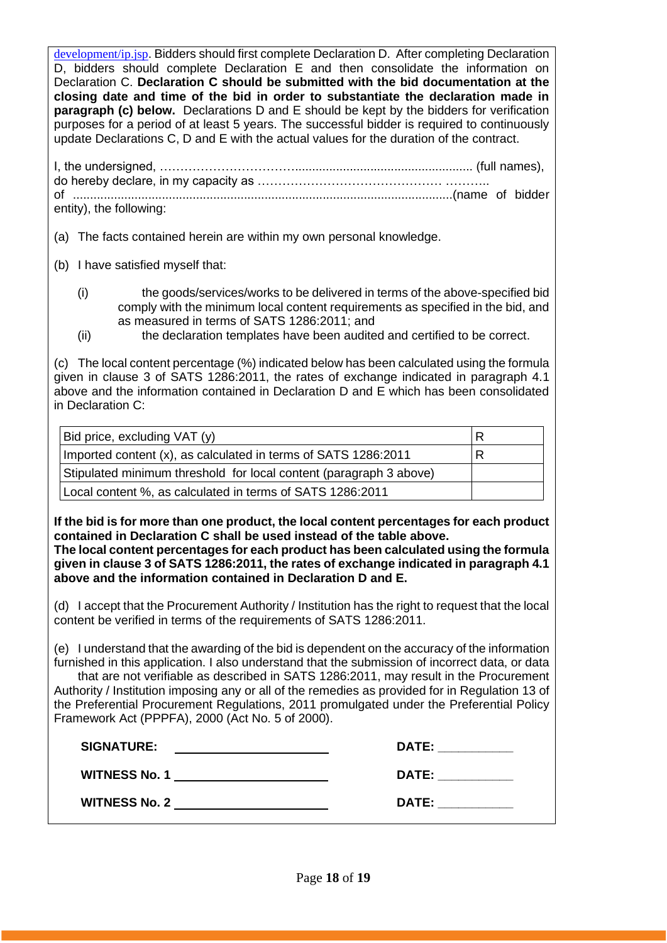[development/ip.jsp](http://www.thdti.gov.za/industrial%20development/ip.jsp). Bidders should first complete Declaration D. After completing Declaration D, bidders should complete Declaration E and then consolidate the information on Declaration C. **Declaration C should be submitted with the bid documentation at the closing date and time of the bid in order to substantiate the declaration made in paragraph (c) below.** Declarations D and E should be kept by the bidders for verification purposes for a period of at least 5 years. The successful bidder is required to continuously update Declarations C, D and E with the actual values for the duration of the contract.

| entity), the following: |  |
|-------------------------|--|

(a) The facts contained herein are within my own personal knowledge.

- (b) I have satisfied myself that:
	- (i) the goods/services/works to be delivered in terms of the above-specified bid comply with the minimum local content requirements as specified in the bid, and as measured in terms of SATS 1286:2011; and
	- (ii) the declaration templates have been audited and certified to be correct.

(c) The local content percentage (%) indicated below has been calculated using the formula given in clause 3 of SATS 1286:2011, the rates of exchange indicated in paragraph 4.1 above and the information contained in Declaration D and E which has been consolidated in Declaration C:

| Bid price, excluding VAT (y)                                       | R |
|--------------------------------------------------------------------|---|
| Imported content (x), as calculated in terms of SATS 1286:2011     | R |
| Stipulated minimum threshold for local content (paragraph 3 above) |   |
| Local content %, as calculated in terms of SATS 1286:2011          |   |

**If the bid is for more than one product, the local content percentages for each product contained in Declaration C shall be used instead of the table above.** 

**The local content percentages for each product has been calculated using the formula given in clause 3 of SATS 1286:2011, the rates of exchange indicated in paragraph 4.1 above and the information contained in Declaration D and E.**

(d) I accept that the Procurement Authority / Institution has the right to request that the local content be verified in terms of the requirements of SATS 1286:2011.

(e) I understand that the awarding of the bid is dependent on the accuracy of the information furnished in this application. I also understand that the submission of incorrect data, or data that are not verifiable as described in SATS 1286:2011, may result in the Procurement Authority / Institution imposing any or all of the remedies as provided for in Regulation 13 of the Preferential Procurement Regulations, 2011 promulgated under the Preferential Policy Framework Act (PPPFA), 2000 (Act No. 5 of 2000).

| <b>SIGNATURE:</b>    | <b>DATE:</b> |
|----------------------|--------------|
| <b>WITNESS No. 1</b> | <b>DATE:</b> |
| <b>WITNESS No. 2</b> | <b>DATE:</b> |